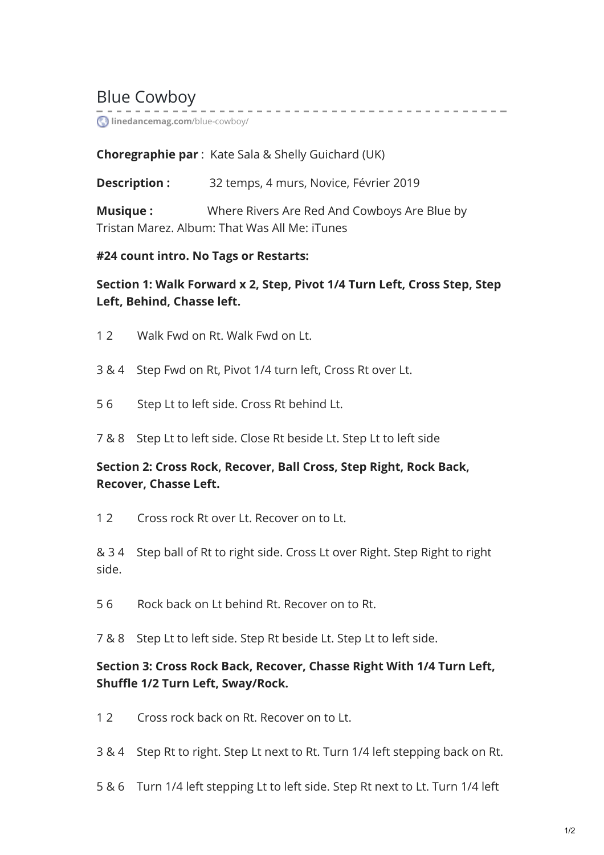Blue Cowboy

**[linedancemag.com](https://www.linedancemag.com/blue-cowboy/)**/blue-cowboy/

**Choregraphie par** : Kate Sala & Shelly Guichard (UK)

**Description :** 32 temps, 4 murs, Novice, Février 2019

**Musique :** Where Rivers Are Red And Cowboys Are Blue by Tristan Marez. Album: That Was All Me: iTunes

#### **#24 count intro. No Tags or Restarts:**

**Section 1: Walk Forward x 2, Step, Pivot 1/4 Turn Left, Cross Step, Step Left, Behind, Chasse left.**

- 1 2 Walk Fwd on Rt. Walk Fwd on Lt.
- 3 & 4 Step Fwd on Rt, Pivot 1/4 turn left, Cross Rt over Lt.
- 5 6 Step Lt to left side. Cross Rt behind Lt.
- 7 & 8 Step Lt to left side. Close Rt beside Lt. Step Lt to left side

#### **Section 2: Cross Rock, Recover, Ball Cross, Step Right, Rock Back, Recover, Chasse Left.**

12 Cross rock Rt over Lt. Recover on to Lt.

& 3 4 Step ball of Rt to right side. Cross Lt over Right. Step Right to right side.

- 5 6 Rock back on Lt behind Rt. Recover on to Rt.
- 7 & 8 Step Lt to left side. Step Rt beside Lt. Step Lt to left side.

## **Section 3: Cross Rock Back, Recover, Chasse Right With 1/4 Turn Left, Shuffle 1/2 Turn Left, Sway/Rock.**

- 12 Cross rock back on Rt. Recover on to Lt.
- 3 & 4 Step Rt to right. Step Lt next to Rt. Turn 1/4 left stepping back on Rt.
- 5 & 6 Turn 1/4 left stepping Lt to left side. Step Rt next to Lt. Turn 1/4 left